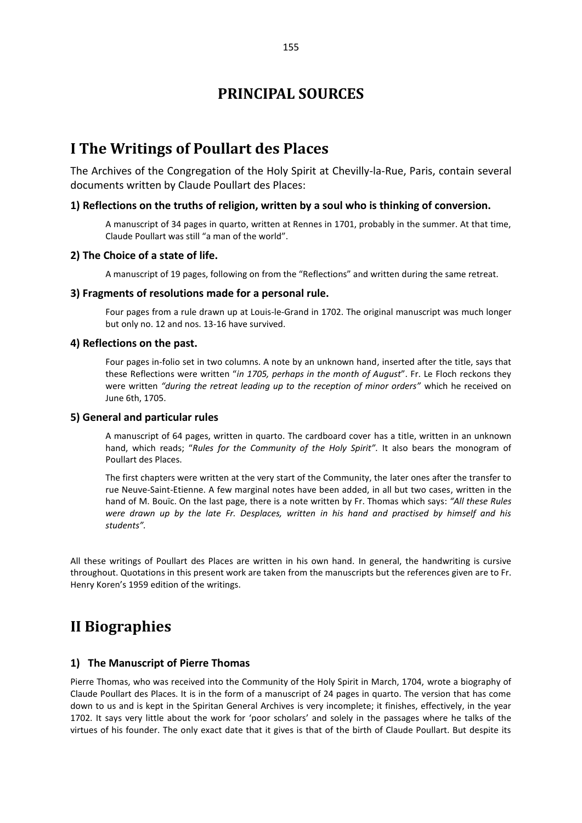## **I The Writings of Poullart des Places**

The Archives of the Congregation of the Holy Spirit at Chevilly-la-Rue, Paris, contain several documents written by Claude Poullart des Places:

### **1) Reflections on the truths of religion, written by a soul who is thinking of conversion.**

A manuscript of 34 pages in quarto, written at Rennes in 1701, probably in the summer. At that time, Claude Poullart was still "a man of the world".

### **2) The Choice of a state of life.**

A manuscript of 19 pages, following on from the "Reflections" and written during the same retreat.

### **3) Fragments of resolutions made for a personal rule.**

Four pages from a rule drawn up at Louis-le-Grand in 1702. The original manuscript was much longer but only no. 12 and nos. 13-16 have survived.

### **4) Reflections on the past.**

Four pages in-folio set in two columns. A note by an unknown hand, inserted after the title, says that these Reflections were written "*in 1705, perhaps in the month of August*". Fr. Le Floch reckons they were written *"during the retreat leading up to the reception of minor orders"* which he received on June 6th, 1705.

### **5) General and particular rules**

A manuscript of 64 pages, written in quarto. The cardboard cover has a title, written in an unknown hand, which reads; "*Rules for the Community of the Holy Spirit".* It also bears the monogram of Poullart des Places.

The first chapters were written at the very start of the Community, the later ones after the transfer to rue Neuve-Saint-Etienne. A few marginal notes have been added, in all but two cases, written in the hand of M. Bouïc. On the last page, there is a note written by Fr. Thomas which says: *"All these Rules were drawn up by the late Fr. Desplaces, written in his hand and practised by himself and his students".*

All these writings of Poullart des Places are written in his own hand. In general, the handwriting is cursive throughout. Quotations in this present work are taken from the manuscripts but the references given are to Fr. Henry Koren's 1959 edition of the writings.

# **II Biographies**

## **1) The Manuscript of Pierre Thomas**

Pierre Thomas, who was received into the Community of the Holy Spirit in March, 1704, wrote a biography of Claude Poullart des Places. It is in the form of a manuscript of 24 pages in quarto. The version that has come down to us and is kept in the Spiritan General Archives is very incomplete; it finishes, effectively, in the year 1702. It says very little about the work for 'poor scholars' and solely in the passages where he talks of the virtues of his founder. The only exact date that it gives is that of the birth of Claude Poullart. But despite its